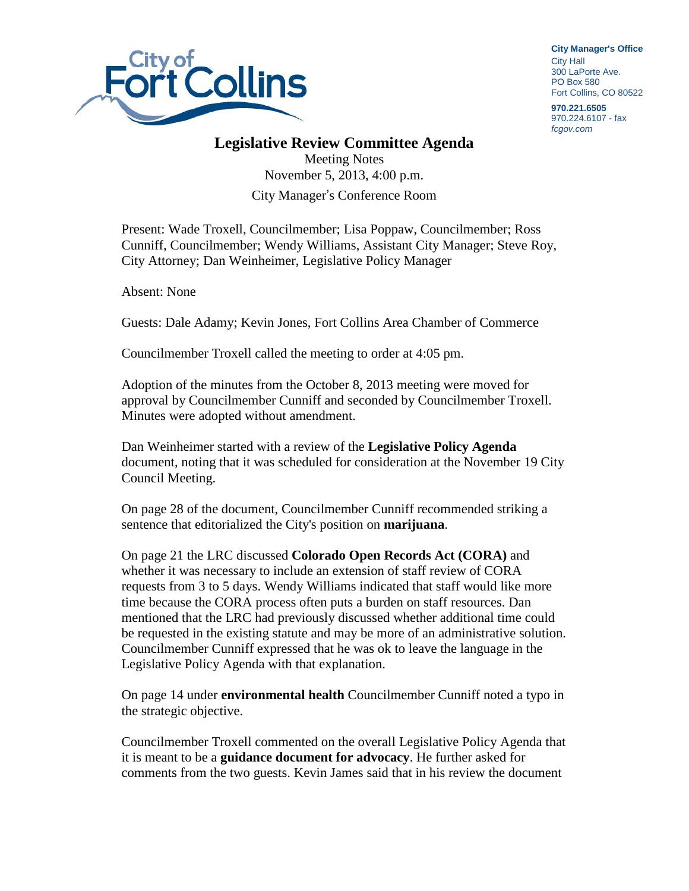

**City Manager**'**s Office** City Hall 300 LaPorte Ave. PO Box 580 Fort Collins, CO 80522

**970.221.6505** 970.224.6107 - fax *fcgov.com*

## **Legislative Review Committee Agenda**

Meeting Notes November 5, 2013, 4:00 p.m. City Manager's Conference Room

Present: Wade Troxell, Councilmember; Lisa Poppaw, Councilmember; Ross Cunniff, Councilmember; Wendy Williams, Assistant City Manager; Steve Roy, City Attorney; Dan Weinheimer, Legislative Policy Manager

Absent: None

Guests: Dale Adamy; Kevin Jones, Fort Collins Area Chamber of Commerce

Councilmember Troxell called the meeting to order at 4:05 pm.

Adoption of the minutes from the October 8, 2013 meeting were moved for approval by Councilmember Cunniff and seconded by Councilmember Troxell. Minutes were adopted without amendment.

Dan Weinheimer started with a review of the **Legislative Policy Agenda** document, noting that it was scheduled for consideration at the November 19 City Council Meeting.

On page 28 of the document, Councilmember Cunniff recommended striking a sentence that editorialized the City's position on **marijuana**.

On page 21 the LRC discussed **Colorado Open Records Act (CORA)** and whether it was necessary to include an extension of staff review of CORA requests from 3 to 5 days. Wendy Williams indicated that staff would like more time because the CORA process often puts a burden on staff resources. Dan mentioned that the LRC had previously discussed whether additional time could be requested in the existing statute and may be more of an administrative solution. Councilmember Cunniff expressed that he was ok to leave the language in the Legislative Policy Agenda with that explanation.

On page 14 under **environmental health** Councilmember Cunniff noted a typo in the strategic objective.

Councilmember Troxell commented on the overall Legislative Policy Agenda that it is meant to be a **guidance document for advocacy**. He further asked for comments from the two guests. Kevin James said that in his review the document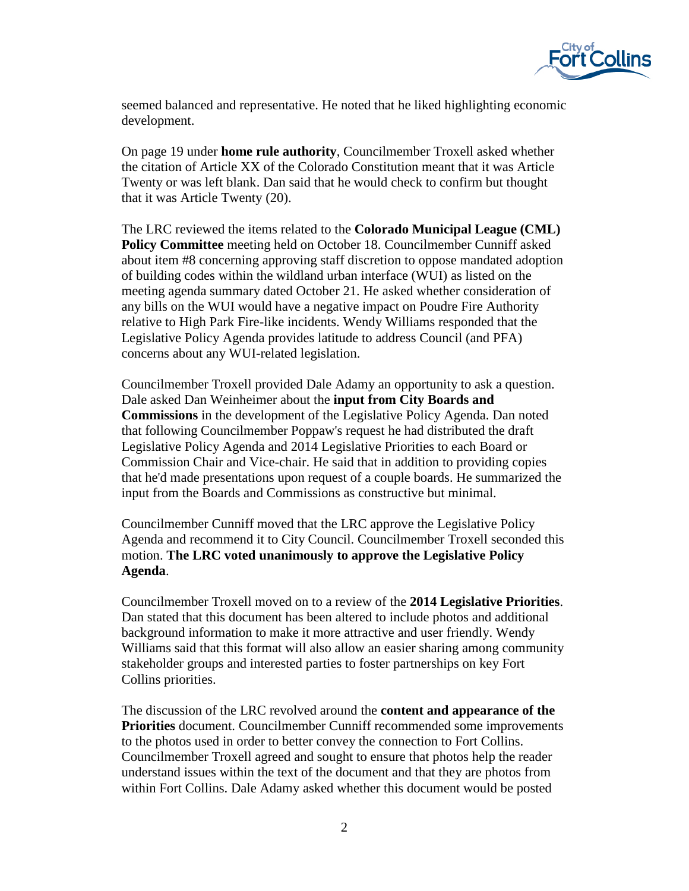

seemed balanced and representative. He noted that he liked highlighting economic development.

On page 19 under **home rule authority**, Councilmember Troxell asked whether the citation of Article XX of the Colorado Constitution meant that it was Article Twenty or was left blank. Dan said that he would check to confirm but thought that it was Article Twenty (20).

The LRC reviewed the items related to the **Colorado Municipal League (CML) Policy Committee** meeting held on October 18. Councilmember Cunniff asked about item #8 concerning approving staff discretion to oppose mandated adoption of building codes within the wildland urban interface (WUI) as listed on the meeting agenda summary dated October 21. He asked whether consideration of any bills on the WUI would have a negative impact on Poudre Fire Authority relative to High Park Fire-like incidents. Wendy Williams responded that the Legislative Policy Agenda provides latitude to address Council (and PFA) concerns about any WUI-related legislation.

Councilmember Troxell provided Dale Adamy an opportunity to ask a question. Dale asked Dan Weinheimer about the **input from City Boards and Commissions** in the development of the Legislative Policy Agenda. Dan noted that following Councilmember Poppaw's request he had distributed the draft Legislative Policy Agenda and 2014 Legislative Priorities to each Board or Commission Chair and Vice-chair. He said that in addition to providing copies that he'd made presentations upon request of a couple boards. He summarized the input from the Boards and Commissions as constructive but minimal.

Councilmember Cunniff moved that the LRC approve the Legislative Policy Agenda and recommend it to City Council. Councilmember Troxell seconded this motion. **The LRC voted unanimously to approve the Legislative Policy Agenda**.

Councilmember Troxell moved on to a review of the **2014 Legislative Priorities**. Dan stated that this document has been altered to include photos and additional background information to make it more attractive and user friendly. Wendy Williams said that this format will also allow an easier sharing among community stakeholder groups and interested parties to foster partnerships on key Fort Collins priorities.

The discussion of the LRC revolved around the **content and appearance of the Priorities** document. Councilmember Cunniff recommended some improvements to the photos used in order to better convey the connection to Fort Collins. Councilmember Troxell agreed and sought to ensure that photos help the reader understand issues within the text of the document and that they are photos from within Fort Collins. Dale Adamy asked whether this document would be posted